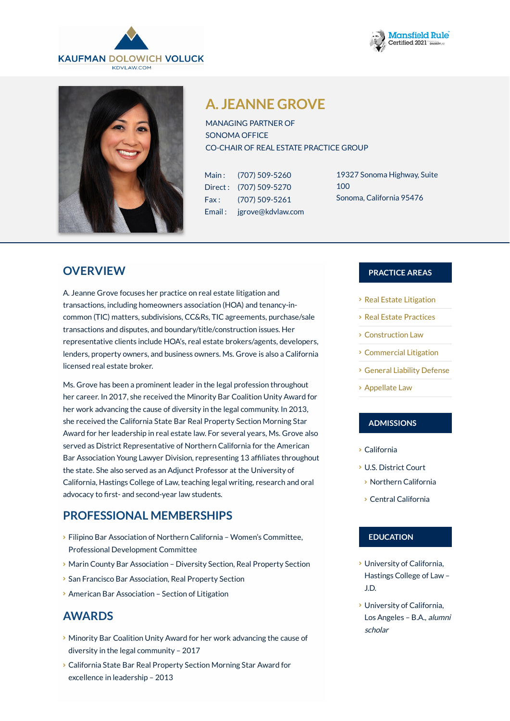





# **A. JEANNE GROVE**

MANAGING PARTNER OF SONOMA OFFICE CO-CHAIR OF REAL ESTATE PRACTICE GROUP

Main: (707) [509-5260](tel:+1-707-509-5260) Direct : (707) [509-5270](tel:+1-707-509-5270) Fax: (707) 509-5261 Email : [jgrove@kdvlaw.com](mailto:jgrove@kdvlaw.com) 19327 Sonoma Highway, Suite  $100$ Sonoma, California 95476

## **OVERVIEW**

A. Jeanne Grove focuses her practice on real estate litigation and transactions, including homeowners association (HOA) and tenancy-incommon (TIC) matters, subdivisions, CC&Rs, TIC agreements, purchase/sale transactions and disputes, and boundary/title/construction issues. Her representative clients include HOA's, real estate brokers/agents, developers, lenders, property owners, and business owners. Ms. Grove is also a California licensed real estate broker.

Ms. Grove has been a prominent leader in the legal profession throughout her career. In 2017, she received the Minority Bar Coalition Unity Award for her work advancing the cause of diversity in the legal community. In 2013, she received the California State Bar Real Property Section Morning Star Award for her leadership in real estate law. For several years, Ms. Grove also served as District Representative of Northern California for the American Bar Association Young Lawyer Division, representing 13 affiliates throughout the state. She also served as an Adjunct Professor at the University of California, Hastings College of Law, teaching legal writing, research and oral advocacy to first- and second-year law students.

## **PROFESSIONAL MEMBERSHIPS**

- **> Filipino Bar Association of Northern California Women's Committee,** Professional Development Committee
- Marin County Bar Association Diversity Section, Real Property Section
- ▶ San Francisco Bar Association, Real Property Section
- American Bar Association Section of Litigation

## **AWARDS**

- Minority Bar Coalition Unity Award for her work advancing the cause of diversity in the legal community – 2017
- California State Bar Real Property Section Morning Star Award for excellence in leadership – 2013

#### **PRACTICE AREAS**

- Real Estate [Litigation](https://www.kdvlaw.com/practice-areas/real-estate-san-francisco/san-francisco/)
- Real Estate [Practices](https://www.kdvlaw.com/practice-areas/real-estate-practices/)
- [Construction](https://www.kdvlaw.com/practice-areas/construction-law/) Law
- [Commercial](https://www.kdvlaw.com/practice-areas/commercial-litigation/) Litigation
- General Liability [Defense](https://www.kdvlaw.com/practice-areas/general-liability/)
- [Appellate](https://www.kdvlaw.com/practice-areas/appellate-law/) Law

#### **ADMISSIONS**

- California
- U.S. District Court
- Northern California
- Central California

### **EDUCATION**

- University of California, Hastings College of Law – J.D.
- University of California, Los Angeles – B.A., alumni scholar